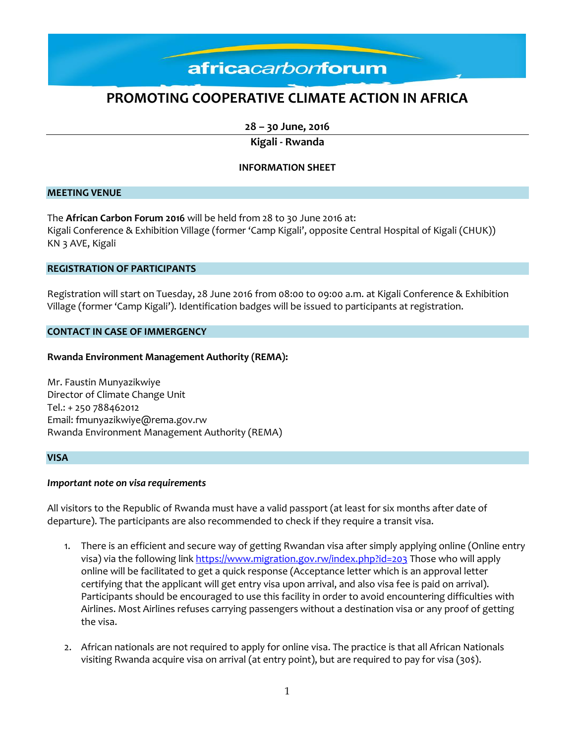### **PROMOTING COOPERATIVE CLIMATE ACTION IN AFRICA**

**28 – 30 June, 2016**

**Kigali - Rwanda**

#### **INFORMATION SHEET**

#### **MEETING VENUE**

The **African Carbon Forum 2016** will be held from 28 to 30 June 2016 at: Kigali Conference & Exhibition Village (former 'Camp Kigali', opposite Central Hospital of Kigali (CHUK)) KN 3 AVE, Kigali

#### **REGISTRATION OF PARTICIPANTS**

Registration will start on Tuesday, 28 June 2016 from 08:00 to 09:00 a.m. at Kigali Conference & Exhibition Village (former 'Camp Kigali'). Identification badges will be issued to participants at registration.

#### **CONTACT IN CASE OF IMMERGENCY**

#### **Rwanda Environment Management Authority (REMA):**

Mr. Faustin Munyazikwiye Director of Climate Change Unit Tel.: + 250 788462012 Email: fmunyazikwiye@rema.gov.rw Rwanda Environment Management Authority (REMA)

#### **VISA**

#### *Important note on visa requirements*

All visitors to the Republic of Rwanda must have a valid passport (at least for six months after date of departure). The participants are also recommended to check if they require a transit visa.

- 1. There is an efficient and secure way of getting Rwandan visa after simply applying online (Online entry visa) via the following lin[k https://www.migration.gov.rw/index.php?id=203](https://www.migration.gov.rw/index.php?id=203) Those who will apply online will be facilitated to get a quick response (Acceptance letter which is an approval letter certifying that the applicant will get entry visa upon arrival, and also visa fee is paid on arrival). Participants should be encouraged to use this facility in order to avoid encountering difficulties with Airlines. Most Airlines refuses carrying passengers without a destination visa or any proof of getting the visa.
- 2. African nationals are not required to apply for online visa. The practice is that all African Nationals visiting Rwanda acquire visa on arrival (at entry point), but are required to pay for visa (30\$).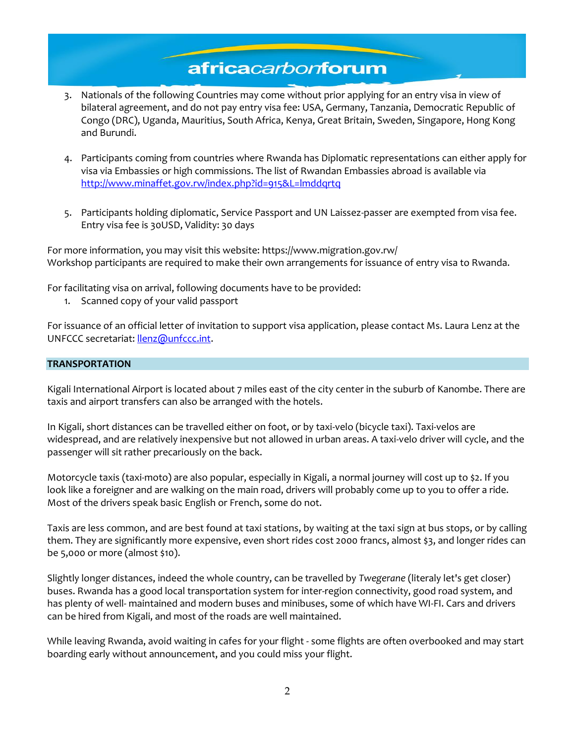- 3. Nationals of the following Countries may come without prior applying for an entry visa in view of bilateral agreement, and do not pay entry visa fee: USA, Germany, Tanzania, Democratic Republic of Congo (DRC), Uganda, Mauritius, South Africa, Kenya, Great Britain, Sweden, Singapore, Hong Kong and Burundi.
- 4. Participants coming from countries where Rwanda has Diplomatic representations can either apply for visa via Embassies or high commissions. The list of Rwandan Embassies abroad is available via <http://www.minaffet.gov.rw/index.php?id=915&L=lmddqrtq>
- 5. Participants holding diplomatic, Service Passport and UN Laissez-passer are exempted from visa fee. Entry visa fee is 30USD, Validity: 30 days

For more information, you may visit this website: https://www.migration.gov.rw/ Workshop participants are required to make their own arrangements for issuance of entry visa to Rwanda.

For facilitating visa on arrival, following documents have to be provided:

1. Scanned copy of your valid passport

For issuance of an official letter of invitation to support visa application, please contact Ms. Laura Lenz at the UNFCCC secretariat: [llenz@unfccc.int.](mailto:llenz@unfccc.int)

#### **TRANSPORTATION**

Kigali International Airport is located about 7 miles east of the city center in the suburb of Kanombe. There are taxis and airport transfers can also be arranged with the hotels.

In Kigali, short distances can be travelled either on foot, or by taxi-velo (bicycle taxi). Taxi-velos are widespread, and are relatively inexpensive but not allowed in urban areas. A taxi-velo driver will cycle, and the passenger will sit rather precariously on the back.

Motorcycle taxis (taxi-moto) are also popular, especially in Kigali, a normal journey will cost up to \$2. If you look like a foreigner and are walking on the main road, drivers will probably come up to you to offer a ride. Most of the drivers speak basic English or French, some do not.

Taxis are less common, and are best found at taxi stations, by waiting at the taxi sign at bus stops, or by calling them. They are significantly more expensive, even short rides cost 2000 francs, almost \$3, and longer rides can be 5,000 or more (almost \$10).

Slightly longer distances, indeed the whole country, can be travelled by *Twegerane* (literaly let's get closer) buses. Rwanda has a good local transportation system for inter-region connectivity, good road system, and has plenty of well- maintained and modern buses and minibuses, some of which have WI-FI. Cars and drivers can be hired from Kigali, and most of the roads are well maintained.

While leaving Rwanda, avoid waiting in cafes for your flight - some flights are often overbooked and may start boarding early without announcement, and you could miss your flight.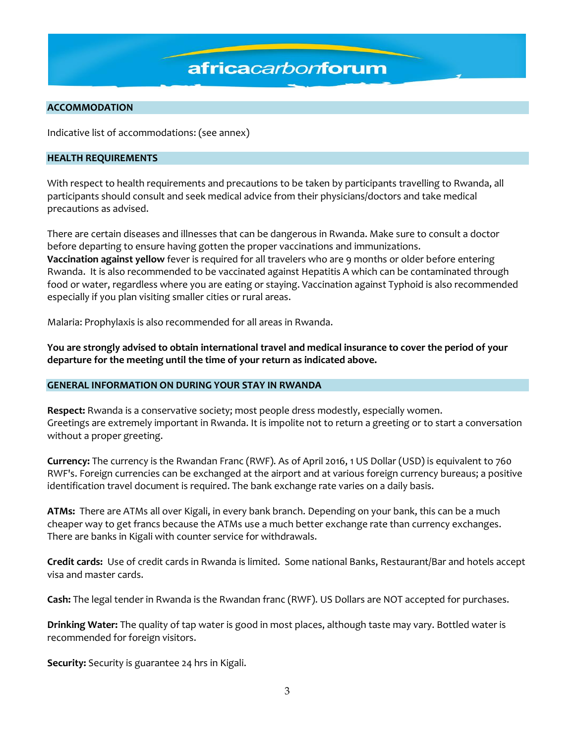#### **ACCOMMODATION**

Indicative list of accommodations: (see annex)

#### **HEALTH REQUIREMENTS**

With respect to health requirements and precautions to be taken by participants travelling to Rwanda, all participants should consult and seek medical advice from their physicians/doctors and take medical precautions as advised.

There are certain diseases and illnesses that can be dangerous in Rwanda. Make sure to consult a doctor before departing to ensure having gotten the proper vaccinations and immunizations. **Vaccination against yellow** fever is required for all travelers who are 9 months or older before entering Rwanda. It is also recommended to be vaccinated against Hepatitis A which can be contaminated through food or water, regardless where you are eating or staying. Vaccination against Typhoid is also recommended especially if you plan visiting smaller cities or rural areas.

Malaria: Prophylaxis is also recommended for all areas in Rwanda.

**You are strongly advised to obtain international travel and medical insurance to cover the period of your departure for the meeting until the time of your return as indicated above.**

#### **GENERAL INFORMATION ON DURING YOUR STAY IN RWANDA**

**Respect:** Rwanda is a conservative society; most people dress modestly, especially women. Greetings are extremely important in Rwanda. It is impolite not to return a greeting or to start a conversation without a proper greeting.

**Currency:** The currency is the Rwandan Franc (RWF). As of April 2016, 1 US Dollar (USD) is equivalent to 760 RWF's. Foreign currencies can be exchanged at the airport and at various foreign currency bureaus; a positive identification travel document is required. The bank exchange rate varies on a daily basis.

**ATMs:** There are ATMs all over Kigali, in every bank branch. Depending on your bank, this can be a much cheaper way to get francs because the ATMs use a much better exchange rate than currency exchanges. There are banks in Kigali with counter service for withdrawals.

**Credit cards:** Use of credit cards in Rwanda is limited. Some national Banks, Restaurant/Bar and hotels accept visa and master cards.

**Cash:** The legal tender in Rwanda is the Rwandan franc (RWF). US Dollars are NOT accepted for purchases.

**Drinking Water:** The quality of tap water is good in most places, although taste may vary. Bottled water is recommended for foreign visitors.

**Security:** Security is guarantee 24 hrs in Kigali.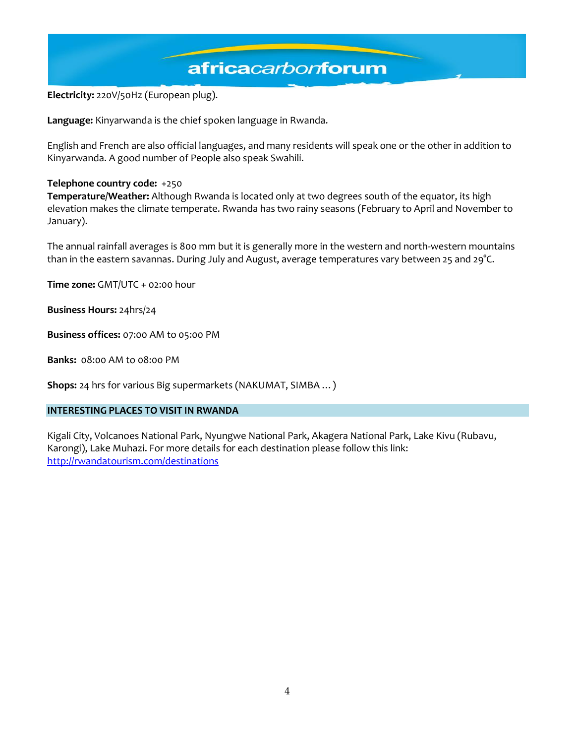**Electricity:** 220V/50Hz (European plug).

**Language:** Kinyarwanda is the chief spoken language in Rwanda.

English and French are also official languages, and many residents will speak one or the other in addition to Kinyarwanda. A good number of People also speak Swahili.

#### **Telephone country code:** +250

**Temperature/Weather:** Although Rwanda is located only at two degrees south of the equator, its high elevation makes the climate temperate. Rwanda has two rainy seasons (February to April and November to January).

The annual rainfall averages is 800 mm but it is generally more in the western and north-western mountains than in the eastern savannas. During July and August, average temperatures vary between 25 and 29°C.

**Time zone:** GMT/UTC + 02:00 hour

**Business Hours:** 24hrs/24

**Business offices:** 07:00 AM to 05:00 PM

**Banks:** 08:00 AM to 08:00 PM

**Shops:** 24 hrs for various Big supermarkets (NAKUMAT, SIMBA …)

#### **INTERESTING PLACES TO VISIT IN RWANDA**

Kigali City, Volcanoes National Park, Nyungwe National Park, Akagera National Park, Lake Kivu (Rubavu, Karongi), Lake Muhazi. For more details for each destination please follow this link: <http://rwandatourism.com/destinations>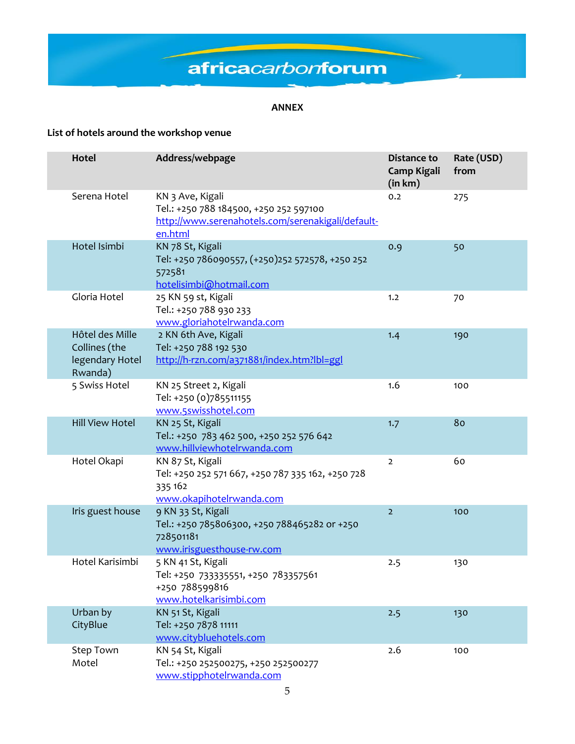#### **ANNEX**

### **List of hotels around the workshop venue**

| Hotel                                                          | Address/webpage                                                                                                            | Distance to<br><b>Camp Kigali</b><br>(in km) | Rate (USD)<br>from |
|----------------------------------------------------------------|----------------------------------------------------------------------------------------------------------------------------|----------------------------------------------|--------------------|
| Serena Hotel                                                   | KN 3 Ave, Kigali<br>Tel.: +250 788 184500, +250 252 597100<br>http://www.serenahotels.com/serenakigali/default-<br>en.html | 0.2                                          | 275                |
| Hotel Isimbi                                                   | KN 78 St, Kigali<br>Tel: +250 786090557, (+250)252 572578, +250 252<br>572581<br>hotelisimbi@hotmail.com                   | 0.9                                          | 50                 |
| Gloria Hotel                                                   | 25 KN 59 st, Kigali<br>Tel.: +250 788 930 233<br>www.gloriahotelrwanda.com                                                 | 1.2                                          | 70                 |
| Hôtel des Mille<br>Collines (the<br>legendary Hotel<br>Rwanda) | 2 KN 6th Ave, Kigali<br>Tel: +250 788 192 530<br>http://h-rzn.com/a371881/index.htm?lbl=ggl                                | 1.4                                          | 190                |
| 5 Swiss Hotel                                                  | KN 25 Street 2, Kigali<br>Tel: +250 (0)785511155<br>www.5swisshotel.com                                                    | 1.6                                          | 100                |
| <b>Hill View Hotel</b>                                         | KN 25 St, Kigali<br>Tel.: +250 783 462 500, +250 252 576 642<br>www.hillviewhotelrwanda.com                                | 1.7                                          | 80                 |
| Hotel Okapi                                                    | KN 87 St, Kigali<br>Tel: +250 252 571 667, +250 787 335 162, +250 728<br>335 162<br>www.okapihotelrwanda.com               | $\overline{2}$                               | 60                 |
| Iris guest house                                               | 9 KN 33 St, Kigali<br>Tel.: +250 785806300, +250 788465282 or +250<br>728501181<br>www.irisguesthouse-rw.com               | $\overline{2}$                               | 100                |
| Hotel Karisimbi                                                | 5 KN 41 St, Kigali<br>Tel: +250 733335551, +250 783357561<br>+250 788599816<br>www.hotelkarisimbi.com                      | 2.5                                          | 130                |
| Urban by<br>CityBlue                                           | KN 51 St, Kigali<br>Tel: +250 7878 11111<br>www.citybluehotels.com                                                         | 2.5                                          | 130                |
| <b>Step Town</b><br>Motel                                      | KN 54 St, Kigali<br>Tel.: +250 252500275, +250 252500277<br>www.stipphotelrwanda.com                                       | 2.6                                          | 100                |